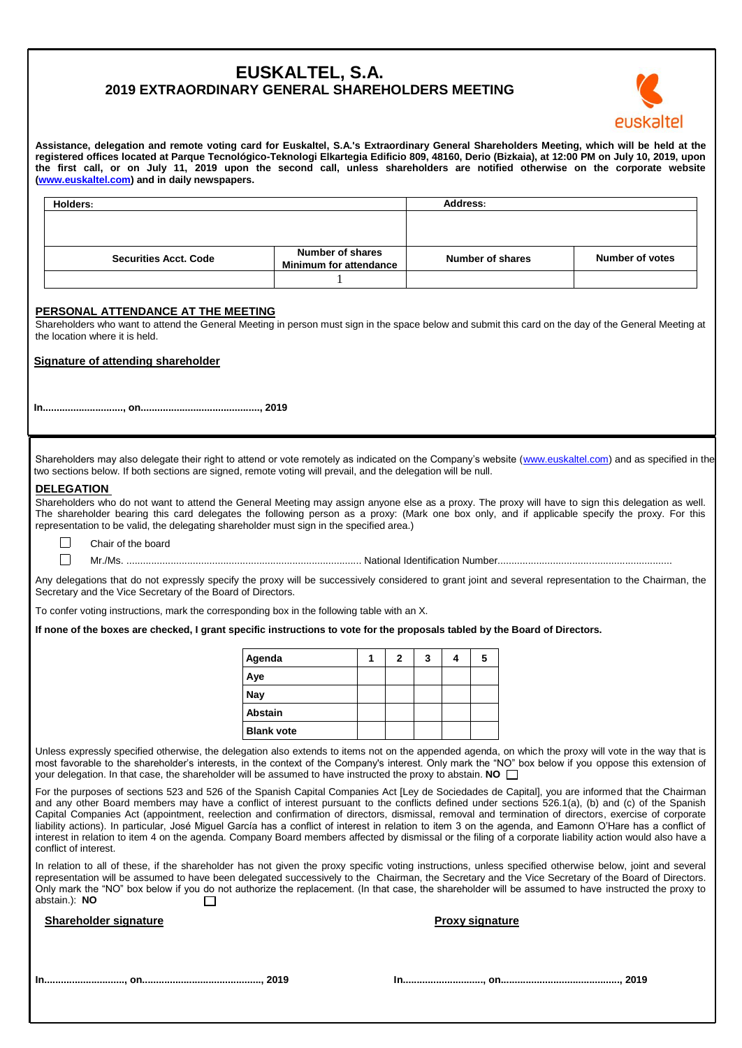# **EUSKALTEL, S.A. 2019 EXTRAORDINARY GENERAL SHAREHOLDERS MEETING**



**Assistance, delegation and remote voting card for Euskaltel, S.A.'s Extraordinary General Shareholders Meeting, which will be held at the registered offices located at Parque Tecnológico-Teknologi Elkartegia Edificio 809, 48160, Derio (Bizkaia), at 12:00 PM on July 10, 2019, upon the first call, or on July 11, 2019 upon the second call, unless shareholders are notified otherwise on the corporate website [\(www.euskaltel.com\)](http://www.euskaltel.com/) and in daily newspapers.**

| Holders:                     | Address:                |                  |                        |
|------------------------------|-------------------------|------------------|------------------------|
|                              |                         |                  |                        |
|                              |                         |                  |                        |
| <b>Securities Acct. Code</b> | <b>Number of shares</b> |                  | <b>Number of votes</b> |
|                              | Minimum for attendance  | Number of shares |                        |
|                              |                         |                  |                        |

### **PERSONAL ATTENDANCE AT THE MEETING**

Shareholders who want to attend the General Meeting in person must sign in the space below and submit this card on the day of the General Meeting at the location where it is held.

# **Signature of attending shareholder**

**In............................., on..........................................., 2019**

Shareholders may also delegate their right to attend or vote remotely as indicated on the Company's website [\(www.euskaltel.com\)](http://www.euskaltel.com/) and as specified in the two sections below. If both sections are signed, remote voting will prevail, and the delegation will be null.

### **DELEGATION**

Shareholders who do not want to attend the General Meeting may assign anyone else as a proxy. The proxy will have to sign this delegation as well. The shareholder bearing this card delegates the following person as a proxy: (Mark one box only, and if applicable specify the proxy. For this representation to be valid, the delegating shareholder must sign in the specified area.)

 $\Box$ Chair of the board

 $\Box$ Mr./Ms. ..................................................................................... National Identification Number...............................................................

Any delegations that do not expressly specify the proxy will be successively considered to grant joint and several representation to the Chairman, the Secretary and the Vice Secretary of the Board of Directors.

To confer voting instructions, mark the corresponding box in the following table with an X.

**If none of the boxes are checked, I grant specific instructions to vote for the proposals tabled by the Board of Directors.**

| Agenda            | 2 | 3 | 5 |
|-------------------|---|---|---|
| Aye               |   |   |   |
| Nay               |   |   |   |
| <b>Abstain</b>    |   |   |   |
| <b>Blank vote</b> |   |   |   |

Unless expressly specified otherwise, the delegation also extends to items not on the appended agenda, on which the proxy will vote in the way that is most favorable to the shareholder's interests, in the context of the Company's interest. Only mark the "NO" box below if you oppose this extension of your delegation. In that case, the shareholder will be assumed to have instructed the proxy to abstain. **NO**

For the purposes of sections 523 and 526 of the Spanish Capital Companies Act [Ley de Sociedades de Capital], you are informed that the Chairman and any other Board members may have a conflict of interest pursuant to the conflicts defined under sections 526.1(a), (b) and (c) of the Spanish Capital Companies Act (appointment, reelection and confirmation of directors, dismissal, removal and termination of directors, exercise of corporate Liability actions). In particular, José Miguel García has a conflict of interest in relation to item 3 on the agenda, and Eamonn O'Hare has a conflict of interest in relation to item 4 on the agenda. Company Board members affected by dismissal or the filing of a corporate liability action would also have a conflict of interest.

In relation to all of these, if the shareholder has not given the proxy specific voting instructions, unless specified otherwise below, joint and several representation will be assumed to have been delegated successively to the Chairman, the Secretary and the Vice Secretary of the Board of Directors. Only mark the "NO" box below if you do not authorize the replacement. (In that case, the shareholder will be assumed to have instructed the proxy to abstain.): **NO**  $\Box$ 

# **Shareholder signature Proxy signature Proxy signature**

|--|--|

**In............................., on..........................................., 2019 In............................., on..........................................., 2019**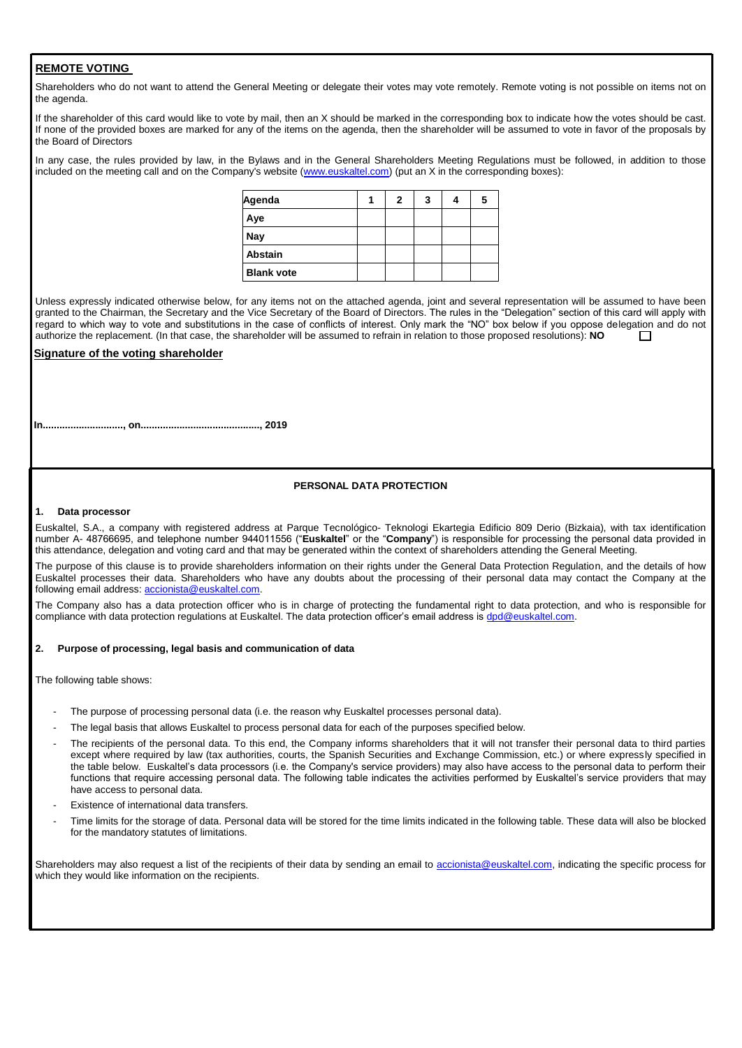# **REMOTE VOTING**

Shareholders who do not want to attend the General Meeting or delegate their votes may vote remotely. Remote voting is not possible on items not on the agenda.

If the shareholder of this card would like to vote by mail, then an X should be marked in the corresponding box to indicate how the votes should be cast. If none of the provided boxes are marked for any of the items on the agenda, then the shareholder will be assumed to vote in favor of the proposals by the Board of Directors

In any case, the rules provided by law, in the Bylaws and in the General Shareholders Meeting Regulations must be followed, in addition to those included on the meeting call and on the Company's website [\(www.euskaltel.com\)](http://www.euskaltel.com/) (put an X in the corresponding boxes):

| Agenda            | 2 | 3 |  |
|-------------------|---|---|--|
| Aye               |   |   |  |
| <b>Nay</b>        |   |   |  |
| <b>Abstain</b>    |   |   |  |
| <b>Blank vote</b> |   |   |  |

Unless expressly indicated otherwise below, for any items not on the attached agenda, joint and several representation will be assumed to have been granted to the Chairman, the Secretary and the Vice Secretary of the Board of Directors. The rules in the "Delegation" section of this card will apply with regard to which way to vote and substitutions in the case of conflicts of interest. Only mark the "NO" box below if you oppose delegation and do not authorize the replacement. (In that case, the shareholder will be assumed to refrain in relation to those proposed resolutions): **NO**  $\Box$ 

## **Signature of the voting shareholder**

**In............................., on..........................................., 2019**

# **PERSONAL DATA PROTECTION**

#### **1. Data processor**

Euskaltel, S.A., a company with registered address at Parque Tecnológico- Teknologi Ekartegia Edificio 809 Derio (Bizkaia), with tax identification number A- 48766695, and telephone number 944011556 ("**Euskaltel**" or the "**Company**") is responsible for processing the personal data provided in this attendance, delegation and voting card and that may be generated within the context of shareholders attending the General Meeting.

The purpose of this clause is to provide shareholders information on their rights under the General Data Protection Regulation, and the details of how Euskaltel processes their data. Shareholders who have any doubts about the processing of their personal data may contact the Company at the following email address: [accionista@euskaltel.com.](../AppData/Local/Microsoft/Windows/INetCache/Content.Outlook/06ZV233Z/accionista@euskaltel.com)

The Company also has a data protection officer who is in charge of protecting the fundamental right to data protection, and who is responsible for compliance with data protection regulations at Euskaltel. The data protection officer's email address is [dpd@euskaltel.com.](../AppData/Local/Microsoft/Windows/INetCache/Content.Outlook/06ZV233Z/dpd@euskaltel.com)

#### **2. Purpose of processing, legal basis and communication of data**

The following table shows:

- The purpose of processing personal data (i.e. the reason why Euskaltel processes personal data).
- The legal basis that allows Euskaltel to process personal data for each of the purposes specified below.
- The recipients of the personal data. To this end, the Company informs shareholders that it will not transfer their personal data to third parties except where required by law (tax authorities, courts, the Spanish Securities and Exchange Commission, etc.) or where expressly specified in the table below. Euskaltel's data processors (i.e. the Company's service providers) may also have access to the personal data to perform their functions that require accessing personal data. The following table indicates the activities performed by Euskaltel's service providers that may have access to personal data.
- Existence of international data transfers.
- Time limits for the storage of data. Personal data will be stored for the time limits indicated in the following table. These data will also be blocked for the mandatory statutes of limitations.

Shareholders may also request a list of the recipients of their data by sending an email t[o accionista@euskaltel.com,](../AppData/Local/Microsoft/Windows/INetCache/Content.Outlook/06ZV233Z/accionista@euskaltel.com) indicating the specific process for which they would like information on the recipients.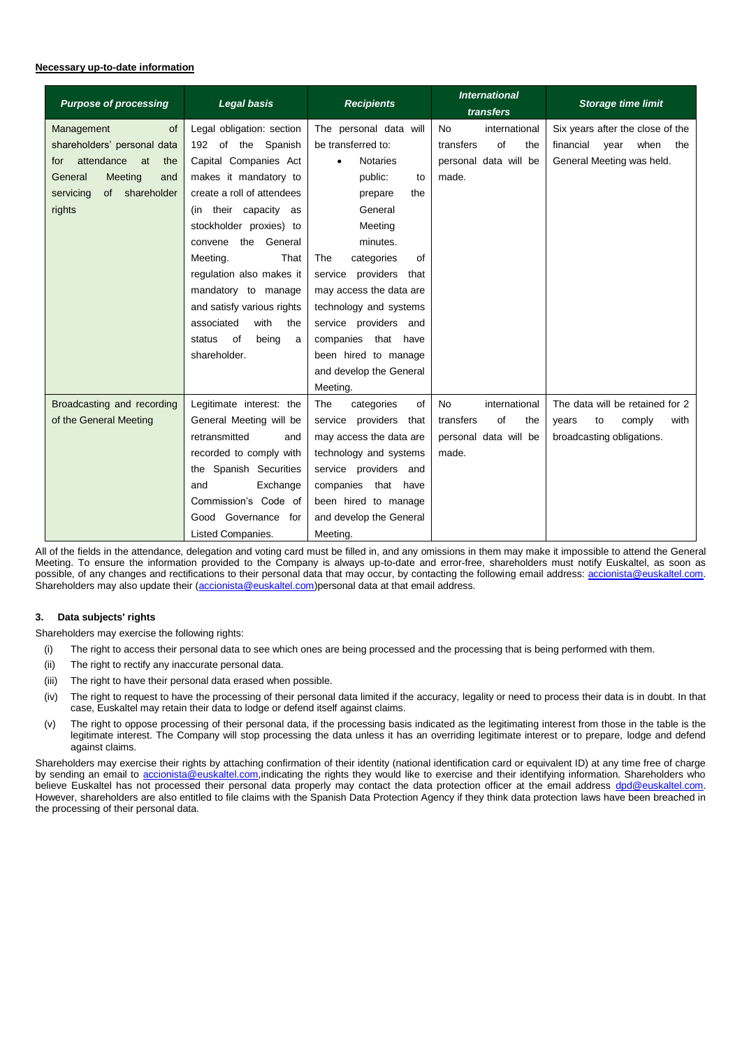#### **Necessary up-to-date information**

| <b>Purpose of processing</b>   | <b>Legal basis</b>         | <b>Recipients</b>         | <b>International</b><br>transfers | <b>Storage time limit</b>        |
|--------------------------------|----------------------------|---------------------------|-----------------------------------|----------------------------------|
| Management<br><b>of</b>        | Legal obligation: section  | The personal data will    | international<br><b>No</b>        | Six years after the close of the |
| shareholders' personal data    | 192 of the Spanish         | be transferred to:        | of<br>transfers<br>the            | financial year<br>when<br>the    |
| attendance<br>the<br>at<br>for | Capital Companies Act      | <b>Notaries</b>           | personal data will be             | General Meeting was held.        |
| General<br>Meeting<br>and      | makes it mandatory to      | public:<br>to             | made.                             |                                  |
| servicing<br>of shareholder    | create a roll of attendees | the<br>prepare            |                                   |                                  |
| rights                         | their capacity as<br>(in   | General                   |                                   |                                  |
|                                | stockholder proxies) to    | Meeting                   |                                   |                                  |
|                                | convene the General        | minutes.                  |                                   |                                  |
|                                | Meeting.<br>That           | The<br>categories<br>of   |                                   |                                  |
|                                | regulation also makes it   | service providers<br>that |                                   |                                  |
|                                | mandatory to manage        | may access the data are   |                                   |                                  |
|                                | and satisfy various rights | technology and systems    |                                   |                                  |
|                                | the<br>associated<br>with  | service providers and     |                                   |                                  |
|                                | of<br>status<br>being<br>a | companies that have       |                                   |                                  |
|                                | shareholder.               | been hired to manage      |                                   |                                  |
|                                |                            | and develop the General   |                                   |                                  |
|                                |                            | Meeting.                  |                                   |                                  |
| Broadcasting and recording     | Legitimate interest: the   | of<br>The<br>categories   | <b>No</b><br>international        | The data will be retained for 2  |
| of the General Meeting         | General Meeting will be    | service providers that    | transfers<br>of<br>the            | with<br>years<br>to<br>comply    |
|                                | retransmitted<br>and       | may access the data are   | personal data will be             | broadcasting obligations.        |
|                                | recorded to comply with    | technology and systems    | made.                             |                                  |
|                                | the Spanish Securities     | service providers and     |                                   |                                  |
|                                | Exchange<br>and            | companies that have       |                                   |                                  |
|                                | Commission's Code of       | been hired to manage      |                                   |                                  |
|                                | Good Governance for        | and develop the General   |                                   |                                  |
|                                | Listed Companies.          | Meeting.                  |                                   |                                  |

All of the fields in the attendance, delegation and voting card must be filled in, and any omissions in them may make it impossible to attend the General Meeting. To ensure the information provided to the Company is always up-to-date and error-free, shareholders must notify Euskaltel, as soon as possible, of any changes and rectifications to their personal data that may occur, by contacting the following email address: [accionista@euskaltel.com.](../AppData/Local/Microsoft/Windows/INetCache/Content.Outlook/06ZV233Z/accionista@euskaltel.com) Shareholders may also update their [\(accionista@euskaltel.com\)](../AppData/Local/Microsoft/Windows/INetCache/Content.Outlook/06ZV233Z/accionista@euskaltel.com)personal data at that email address.

### **3. Data subjects' rights**

Shareholders may exercise the following rights:

- (i) The right to access their personal data to see which ones are being processed and the processing that is being performed with them.
- (ii) The right to rectify any inaccurate personal data.
- (iii) The right to have their personal data erased when possible.
- (iv) The right to request to have the processing of their personal data limited if the accuracy, legality or need to process their data is in doubt. In that case, Euskaltel may retain their data to lodge or defend itself against claims.
- (v) The right to oppose processing of their personal data, if the processing basis indicated as the legitimating interest from those in the table is the legitimate interest. The Company will stop processing the data unless it has an overriding legitimate interest or to prepare, lodge and defend against claims.

Shareholders may exercise their rights by attaching confirmation of their identity (national identification card or equivalent ID) at any time free of charge by sending an email to [accionista@euskaltel.com,i](../AppData/Local/Microsoft/Windows/INetCache/Content.Outlook/06ZV233Z/accionista@euskaltel.com)ndicating the rights they would like to exercise and their identifying information. Shareholders who believe Euskaltel has not processed their personal data properly may contact the data protection officer at the email address [dpd@euskaltel.com.](../AppData/Local/Microsoft/Windows/INetCache/Content.Outlook/06ZV233Z/dpd@euskaltel.com) However, shareholders are also entitled to file claims with the Spanish Data Protection Agency if they think data protection laws have been breached in the processing of their personal data.